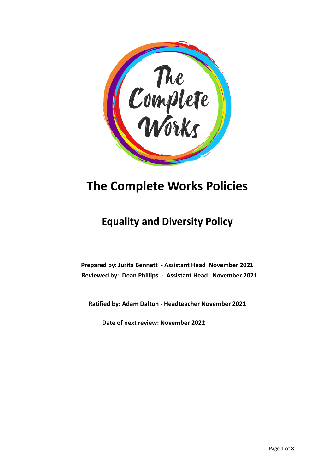

# **The Complete Works Policies**

# **Equality and Diversity Policy**

**Prepared by: Jurita Bennett - Assistant Head November 2021 Reviewed by: Dean Phillips - Assistant Head November 2021**

**Ratified by: Adam Dalton - Headteacher November 2021**

**Date of next review: November 2022**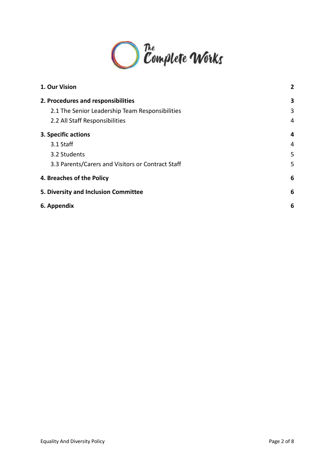

| 1. Our Vision                                     | 2 |
|---------------------------------------------------|---|
| 2. Procedures and responsibilities                | 3 |
| 2.1 The Senior Leadership Team Responsibilities   | 3 |
| 2.2 All Staff Responsibilities                    | 4 |
| 3. Specific actions                               | 4 |
| 3.1 Staff                                         | 4 |
| 3.2 Students                                      | 5 |
| 3.3 Parents/Carers and Visitors or Contract Staff | 5 |
| 4. Breaches of the Policy                         | 6 |
| 5. Diversity and Inclusion Committee              | 6 |
| 6. Appendix                                       | 6 |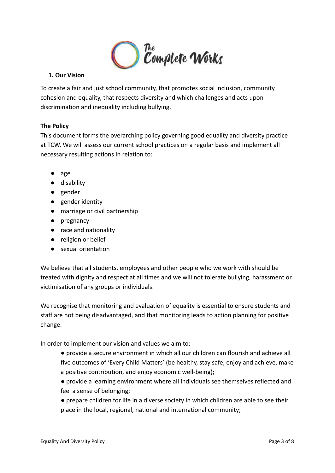

# <span id="page-2-0"></span>**1. Our Vision**

To create a fair and just school community, that promotes social inclusion, community cohesion and equality, that respects diversity and which challenges and acts upon discrimination and inequality including bullying.

# **The Policy**

This document forms the overarching policy governing good equality and diversity practice at TCW. We will assess our current school practices on a regular basis and implement all necessary resulting actions in relation to:

- age
- disability
- gender
- gender identity
- marriage or civil partnership
- pregnancy
- race and nationality
- religion or belief
- sexual orientation

We believe that all students, employees and other people who we work with should be treated with dignity and respect at all times and we will not tolerate bullying, harassment or victimisation of any groups or individuals.

We recognise that monitoring and evaluation of equality is essential to ensure students and staff are not being disadvantaged, and that monitoring leads to action planning for positive change.

In order to implement our vision and values we aim to:

- provide a secure environment in which all our children can flourish and achieve all five outcomes of 'Every Child Matters' (be healthy, stay safe, enjoy and achieve, make a positive contribution, and enjoy economic well-being);
- provide a learning environment where all individuals see themselves reflected and feel a sense of belonging;
- prepare children for life in a diverse society in which children are able to see their place in the local, regional, national and international community;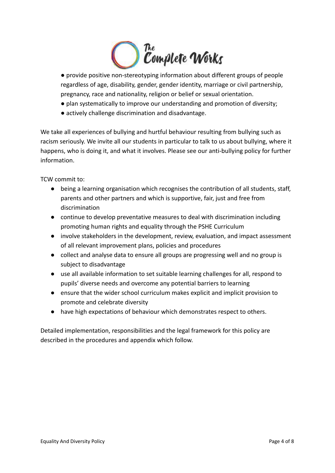

● provide positive non-stereotyping information about different groups of people regardless of age, disability, gender, gender identity, marriage or civil partnership, pregnancy, race and nationality, religion or belief or sexual orientation.

- plan systematically to improve our understanding and promotion of diversity;
- actively challenge discrimination and disadvantage.

We take all experiences of bullying and hurtful behaviour resulting from bullying such as racism seriously. We invite all our students in particular to talk to us about bullying, where it happens, who is doing it, and what it involves. Please see our anti-bullying policy for further information.

TCW commit to:

- being a learning organisation which recognises the contribution of all students, staff, parents and other partners and which is supportive, fair, just and free from discrimination
- continue to develop preventative measures to deal with discrimination including promoting human rights and equality through the PSHE Curriculum
- involve stakeholders in the development, review, evaluation, and impact assessment of all relevant improvement plans, policies and procedures
- collect and analyse data to ensure all groups are progressing well and no group is subject to disadvantage
- use all available information to set suitable learning challenges for all, respond to pupils' diverse needs and overcome any potential barriers to learning
- ensure that the wider school curriculum makes explicit and implicit provision to promote and celebrate diversity
- have high expectations of behaviour which demonstrates respect to others.

Detailed implementation, responsibilities and the legal framework for this policy are described in the procedures and appendix which follow.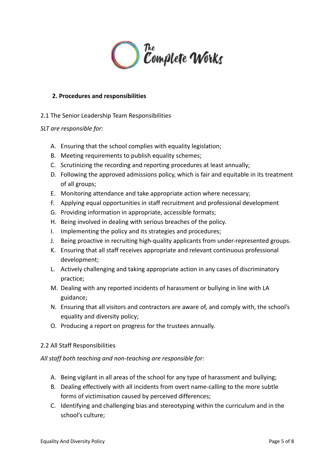

#### <span id="page-4-0"></span>**2. Procedures and responsibilities**

# <span id="page-4-1"></span>2.1 The Senior Leadership Team Responsibilities

#### *SLT are responsible for:*

- A. Ensuring that the school complies with equality legislation;
- B. Meeting requirements to publish equality schemes;
- C. Scrutinizing the recording and reporting procedures at least annually;
- D. Following the approved admissions policy, which is fair and equitable in its treatment of all groups;
- E. Monitoring attendance and take appropriate action where necessary;
- F. Applying equal opportunities in staff recruitment and professional development
- G. Providing information in appropriate, accessible formats;
- H. Being involved in dealing with serious breaches of the policy.
- I. Implementing the policy and its strategies and procedures;
- J. Being proactive in recruiting high-quality applicants from under-represented groups.
- K. Ensuring that all staff receives appropriate and relevant continuous professional development;
- L. Actively challenging and taking appropriate action in any cases of discriminatory practice;
- M. Dealing with any reported incidents of harassment or bullying in line with LA guidance;
- N. Ensuring that all visitors and contractors are aware of, and comply with, the school's equality and diversity policy;
- O. Producing a report on progress for the trustees annually.

#### <span id="page-4-2"></span>2.2 All Staff Responsibilities

*All staff both teaching and non-teaching are responsible for:*

- A. Being vigilant in all areas of the school for any type of harassment and bullying;
- B. Dealing effectively with all incidents from overt name-calling to the more subtle forms of victimisation caused by perceived differences;
- C. Identifying and challenging bias and stereotyping within the curriculum and in the school's culture;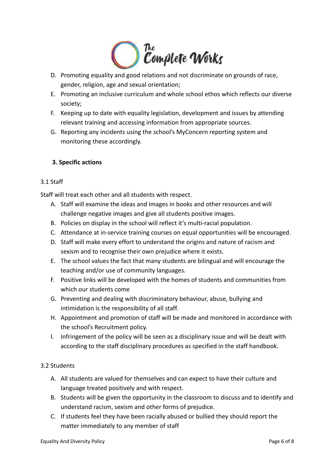

- D. Promoting equality and good relations and not discriminate on grounds of race, gender, religion, age and sexual orientation;
- E. Promoting an inclusive curriculum and whole school ethos which reflects our diverse society;
- F. Keeping up to date with equality legislation, development and issues by attending relevant training and accessing information from appropriate sources.
- G. Reporting any incidents using the school's MyConcern reporting system and monitoring these accordingly.

# <span id="page-5-0"></span>**3. Specific actions**

# <span id="page-5-1"></span>3.1 Staff

Staff will treat each other and all students with respect.

- A. Staff will examine the ideas and images in books and other resources and will challenge negative images and give all students positive images.
- B. Policies on display in the school will reflect it's multi-racial population.
- C. Attendance at in-service training courses on equal opportunities will be encouraged.
- D. Staff will make every effort to understand the origins and nature of racism and sexism and to recognise their own prejudice where it exists.
- E. The school values the fact that many students are bilingual and will encourage the teaching and/or use of community languages.
- F. Positive links will be developed with the homes of students and communities from which our students come
- G. Preventing and dealing with discriminatory behaviour, abuse, bullying and intimidation is the responsibility of all staff.
- H. Appointment and promotion of staff will be made and monitored in accordance with the school's Recruitment policy.
- I. Infringement of the policy will be seen as a disciplinary issue and will be dealt with according to the staff disciplinary procedures as specified in the staff handbook.

# <span id="page-5-2"></span>3.2 Students

- A. All students are valued for themselves and can expect to have their culture and language treated positively and with respect.
- B. Students will be given the opportunity in the classroom to discuss and to identify and understand racism, sexism and other forms of prejudice.
- C. If students feel they have been racially abused or bullied they should report the matter immediately to any member of staff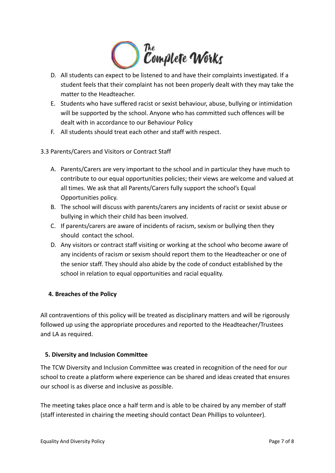

- D. All students can expect to be listened to and have their complaints investigated. If a student feels that their complaint has not been properly dealt with they may take the matter to the Headteacher.
- E. Students who have suffered racist or sexist behaviour, abuse, bullying or intimidation will be supported by the school. Anyone who has committed such offences will be dealt with in accordance to our Behaviour Policy
- F. All students should treat each other and staff with respect.

# <span id="page-6-0"></span>3.3 Parents/Carers and Visitors or Contract Staff

- A. Parents/Carers are very important to the school and in particular they have much to contribute to our equal opportunities policies; their views are welcome and valued at all times. We ask that all Parents/Carers fully support the school's Equal Opportunities policy.
- B. The school will discuss with parents/carers any incidents of racist or sexist abuse or bullying in which their child has been involved.
- C. If parents/carers are aware of incidents of racism, sexism or bullying then they should contact the school.
- D. Any visitors or contract staff visiting or working at the school who become aware of any incidents of racism or sexism should report them to the Headteacher or one of the senior staff. They should also abide by the code of conduct established by the school in relation to equal opportunities and racial equality.

# <span id="page-6-1"></span>**4. Breaches of the Policy**

All contraventions of this policy will be treated as disciplinary matters and will be rigorously followed up using the appropriate procedures and reported to the Headteacher/Trustees and LA as required.

# <span id="page-6-2"></span>**5. Diversity and Inclusion Committee**

The TCW Diversity and Inclusion Committee was created in recognition of the need for our school to create a platform where experience can be shared and ideas created that ensures our school is as diverse and inclusive as possible.

The meeting takes place once a half term and is able to be chaired by any member of staff (staff interested in chairing the meeting should contact Dean Phillips to volunteer).